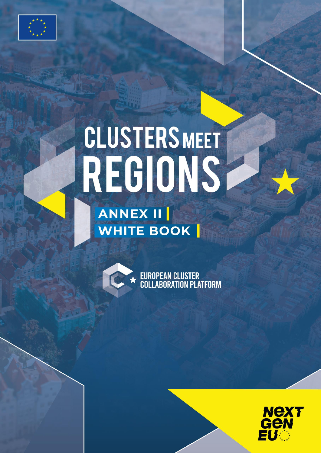

# CLUSTERS MEET

**'CLUSTERS MEET REGIONS' WORKSHOP - WHITE BOOK**

# **ANNEX II WHITE BOOK**



EUROPEAN CLUSTER<br>COLLABORATION PLATFORM



An initiative of the European Union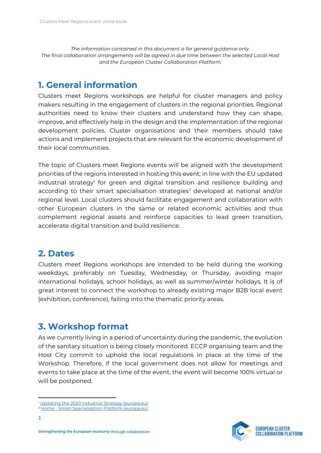*The information contained in this document is for general guidance only. The final collaboration arrangements will be agreed in due time between the selected Local Host and the European Cluster Collaboration Platform.*

# **1. General information**

Clusters meet Regions workshops are helpful for cluster managers and policy makers resulting in the engagement of clusters in the regional priorities. Regional authorities need to know their clusters and understand how they can shape, improve, and effectively help in the design and the implementation of the regional development policies. Cluster organisations and their members should take actions and implement projects that are relevant for the economic development of their local communities.

The topic of Clusters meet Regions events will be aligned with the development priorities of the regions interested in hosting this event; in line with the EU updated industrial strategy<sup>1</sup> for green and digital transition and resilience building and according to their smart specialisation strategies<sup>2</sup> developed at national and/or regional level. Local clusters should facilitate engagement and collaboration with other European clusters in the same or related economic activities and thus complement regional assets and reinforce capacities to lead green transition, accelerate digital transition and build resilience.

# **2. Dates**

Clusters meet Regions workshops are intended to be held during the working weekdays, preferably on Tuesday, Wednesday, or Thursday, avoiding major international holidays, school holidays, as well as summer/winter holidays. It is of great interest to connect the workshop to already existing major B2B local event (exhibition, conference), falling into the thematic priority areas.

# **3. Workshop format**

As we currently living in a period of uncertainty during the pandemic, the evolution of the sanitary situation is being closely monitored. ECCP organising team and the Host City commit to uphold the local regulations in place at the time of the Workshop. Therefore, if the local government does not allow for meetings and events to take place at the time of the event, the event will become 100% virtual or will be postponed.



<sup>&</sup>lt;sup>1</sup> [Updating the 2020 Industrial Strategy \(europa.eu\)](https://ec.europa.eu/commission/presscorner/detail/en/ip_21_1884)

<sup>2</sup> Home - [Smart Specialisation Platform \(europa.eu\)](https://s3platform.jrc.ec.europa.eu/)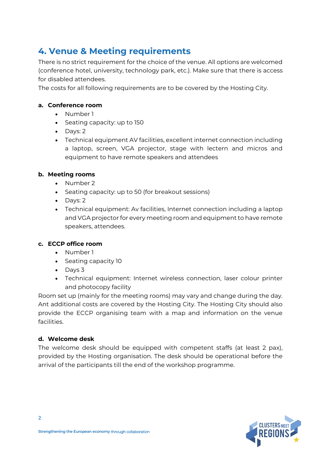# **4. Venue & Meeting requirements**

There is no strict requirement for the choice of the venue. All options are welcomed (conference hotel, university, technology park, etc.). Make sure that there is access for disabled attendees.

The costs for all following requirements are to be covered by the Hosting City.

### **a. Conference room**

- Number 1
- Seating capacity: up to 150
- Days: 2
- Technical equipment AV facilities, excellent internet connection including a laptop, screen, VGA projector, stage with lectern and micros and equipment to have remote speakers and attendees

### **b. Meeting rooms**

- Number 2
- Seating capacity: up to 50 (for breakout sessions)
- Days: 2
- Technical equipment: Av facilities, Internet connection including a laptop and VGA projector for every meeting room and equipment to have remote speakers, attendees.

### **c. ECCP office room**

- Number 1
- Seating capacity 10
- Days 3
- Technical equipment: Internet wireless connection, laser colour printer and photocopy facility

Room set up (mainly for the meeting rooms) may vary and change during the day. Ant additional costs are covered by the Hosting City. The Hosting City should also provide the ECCP organising team with a map and information on the venue facilities.

### **d. Welcome desk**

The welcome desk should be equipped with competent staffs (at least 2 pax), provided by the Hosting organisation. The desk should be operational before the arrival of the participants till the end of the workshop programme.

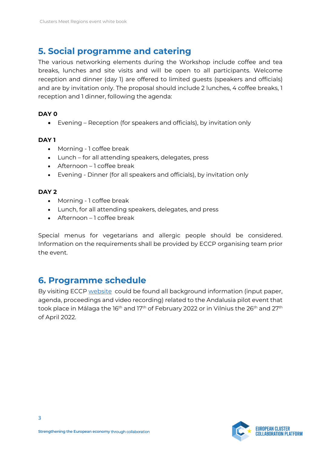# **5. Social programme and catering**

The various networking elements during the Workshop include coffee and tea breaks, lunches and site visits and will be open to all participants. Welcome reception and dinner (day 1) are offered to limited guests (speakers and officials) and are by invitation only. The proposal should include 2 lunches, 4 coffee breaks, 1 reception and 1 dinner, following the agenda:

### **DAY 0**

• Evening – Reception (for speakers and officials), by invitation only

### **DAY 1**

- Morning 1 coffee break
- Lunch for all attending speakers, delegates, press
- Afternoon 1 coffee break
- Evening Dinner (for all speakers and officials), by invitation only

### **DAY 2**

- Morning 1 coffee break
- Lunch, for all attending speakers, delegates, and press
- Afternoon 1 coffee break

Special menus for vegetarians and allergic people should be considered. Information on the requirements shall be provided by ECCP organising team prior the event.

# **6. Programme schedule**

By visiting ECCP [website](https://clustercollaboration.eu/events/organised-by-eccp/clusters-meet-regions) could be found all background information (input paper, agenda, proceedings and video recording) related to the Andalusia pilot event that took place in Málaga the 16<sup>th</sup> and 17<sup>th</sup> of February 2022 or in Vilnius the 26<sup>th</sup> and 27<sup>th</sup> of April 2022.

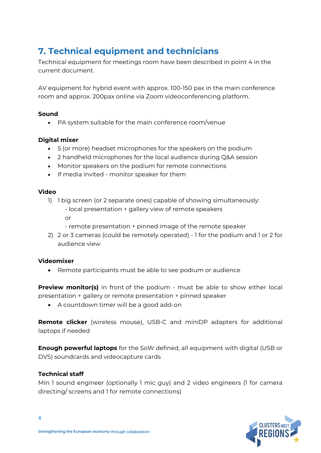# **7. Technical equipment and technicians**

Technical equipment for meetings room have been described in point 4 in the current document.

AV equipment for hybrid event with approx. 100-150 pax in the main conference room and approx. 200pax online via Zoom videoconferencing platform.

### **Sound**

• PA system suitable for the main conference room/venue

### **Digital mixer**

- 5 (or more) headset microphones for the speakers on the podium
- 2 handheld microphones for the local audience during Q&A session
- Monitor speakers on the podium for remote connections
- If media invited monitor speaker for them

### **Video**

- 1) 1 big screen (or 2 separate ones) capable of showing simultaneously: - local presentation + gallery view of remote speakers or
	- remote presentation + pinned image of the remote speaker
- 2) 2 or 3 cameras (could be remotely operated) 1 for the podium and 1 or 2 for audience view

### **Videomixer**

• Remote participants must be able to see podium or audience

**Preview monitor(s)** in front of the podium - must be able to show either local presentation + gallery or remote presentation + pinned speaker

• A countdown timer will be a good add-on

**Remote clicker** (wireless mouse), USB-C and miniDP adapters for additional laptops if needed

**Enough powerful laptops** for the SoW defined, all equipment with digital (USB or DVS) soundcards and videocapture cards

### **Technical staff**

Min 1 sound engineer (optionally 1 mic guy) and 2 video engineers (1 for camera directing/ screens and 1 for remote connections)

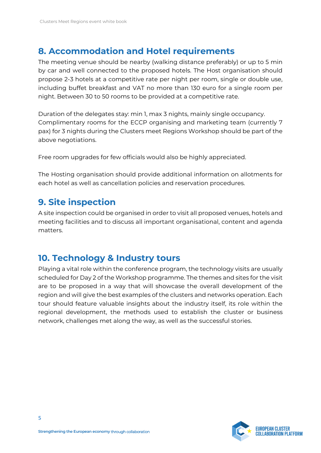# **8. Accommodation and Hotel requirements**

The meeting venue should be nearby (walking distance preferably) or up to 5 min by car and well connected to the proposed hotels. The Host organisation should propose 2-3 hotels at a competitive rate per night per room, single or double use, including buffet breakfast and VAT no more than 130 euro for a single room per night. Between 30 to 50 rooms to be provided at a competitive rate.

Duration of the delegates stay: min 1, max 3 nights, mainly single occupancy. Complimentary rooms for the ECCP organising and marketing team (currently 7 pax) for 3 nights during the Clusters meet Regions Workshop should be part of the above negotiations.

Free room upgrades for few officials would also be highly appreciated.

The Hosting organisation should provide additional information on allotments for each hotel as well as cancellation policies and reservation procedures.

# **9. Site inspection**

A site inspection could be organised in order to visit all proposed venues, hotels and meeting facilities and to discuss all important organisational, content and agenda matters.

# **10. Technology & Industry tours**

Playing a vital role within the conference program, the technology visits are usually scheduled for Day 2 of the Workshop programme. The themes and sites for the visit are to be proposed in a way that will showcase the overall development of the region and will give the best examples of the clusters and networks operation. Each tour should feature valuable insights about the industry itself, its role within the regional development, the methods used to establish the cluster or business network, challenges met along the way, as well as the successful stories.

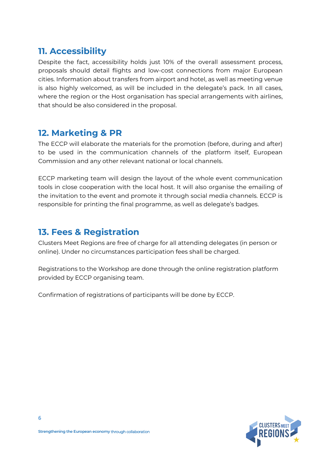# **11. Accessibility**

Despite the fact, accessibility holds just 10% of the overall assessment process, proposals should detail flights and low-cost connections from major European cities. Information about transfers from airport and hotel, as well as meeting venue is also highly welcomed, as will be included in the delegate's pack. In all cases, where the region or the Host organisation has special arrangements with airlines, that should be also considered in the proposal.

### **12. Marketing & PR**

The ECCP will elaborate the materials for the promotion (before, during and after) to be used in the communication channels of the platform itself, European Commission and any other relevant national or local channels.

ECCP marketing team will design the layout of the whole event communication tools in close cooperation with the local host. It will also organise the emailing of the invitation to the event and promote it through social media channels. ECCP is responsible for printing the final programme, as well as delegate's badges.

# **13. Fees & Registration**

Clusters Meet Regions are free of charge for all attending delegates (in person or online). Under no circumstances participation fees shall be charged.

Registrations to the Workshop are done through the online registration platform provided by ECCP organising team.

Confirmation of registrations of participants will be done by ECCP.